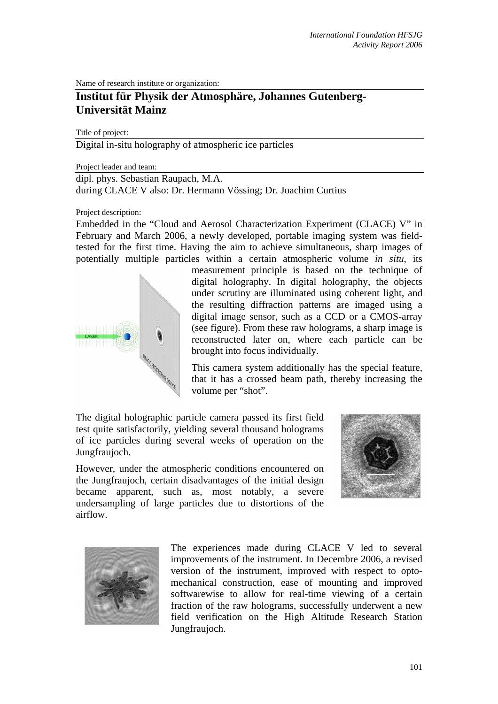Name of research institute or organization:

# **Institut für Physik der Atmosphäre, Johannes Gutenberg-Universität Mainz**

Title of project:

Digital in-situ holography of atmospheric ice particles

Project leader and team:

dipl. phys. Sebastian Raupach, M.A. during CLACE V also: Dr. Hermann Vössing; Dr. Joachim Curtius

Project description:

Embedded in the "Cloud and Aerosol Characterization Experiment (CLACE) V" in February and March 2006, a newly developed, portable imaging system was fieldtested for the first time. Having the aim to achieve simultaneous, sharp images of potentially multiple particles within a certain atmospheric volume *in situ*, its



measurement principle is based on the technique of digital holography. In digital holography, the objects under scrutiny are illuminated using coherent light, and the resulting diffraction patterns are imaged using a digital image sensor, such as a CCD or a CMOS-array (see figure). From these raw holograms, a sharp image is reconstructed later on, where each particle can be brought into focus individually.

This camera system additionally has the special feature, that it has a crossed beam path, thereby increasing the volume per "shot".

The digital holographic particle camera passed its first field test quite satisfactorily, yielding several thousand holograms of ice particles during several weeks of operation on the Jungfraujoch.

However, under the atmospheric conditions encountered on the Jungfraujoch, certain disadvantages of the initial design became apparent, such as, most notably, a severe undersampling of large particles due to distortions of the airflow.





The experiences made during CLACE V led to several improvements of the instrument. In Decembre 2006, a revised version of the instrument, improved with respect to optomechanical construction, ease of mounting and improved softwarewise to allow for real-time viewing of a certain fraction of the raw holograms, successfully underwent a new field verification on the High Altitude Research Station Jungfraujoch.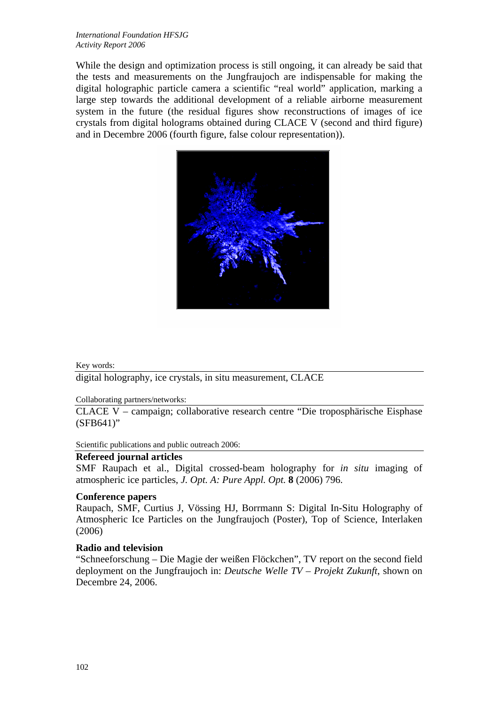While the design and optimization process is still ongoing, it can already be said that the tests and measurements on the Jungfraujoch are indispensable for making the digital holographic particle camera a scientific "real world" application, marking a large step towards the additional development of a reliable airborne measurement system in the future (the residual figures show reconstructions of images of ice crystals from digital holograms obtained during CLACE V (second and third figure) and in Decembre 2006 (fourth figure, false colour representation)).



## Key words:

digital holography, ice crystals, in situ measurement, CLACE

#### Collaborating partners/networks:

CLACE V – campaign; collaborative research centre "Die troposphärische Eisphase (SFB641)"

Scientific publications and public outreach 2006:

# **Refereed journal articles**

SMF Raupach et al., Digital crossed-beam holography for *in situ* imaging of atmospheric ice particles, *J. Opt. A: Pure Appl. Opt.* **8** (2006) 796.

## **Conference papers**

Raupach, SMF, Curtius J, Vössing HJ, Borrmann S: Digital In-Situ Holography of Atmospheric Ice Particles on the Jungfraujoch (Poster), Top of Science, Interlaken (2006)

# **Radio and television**

"Schneeforschung – Die Magie der weißen Flöckchen", TV report on the second field deployment on the Jungfraujoch in: *Deutsche Welle TV – Projekt Zukunft*, shown on Decembre 24, 2006.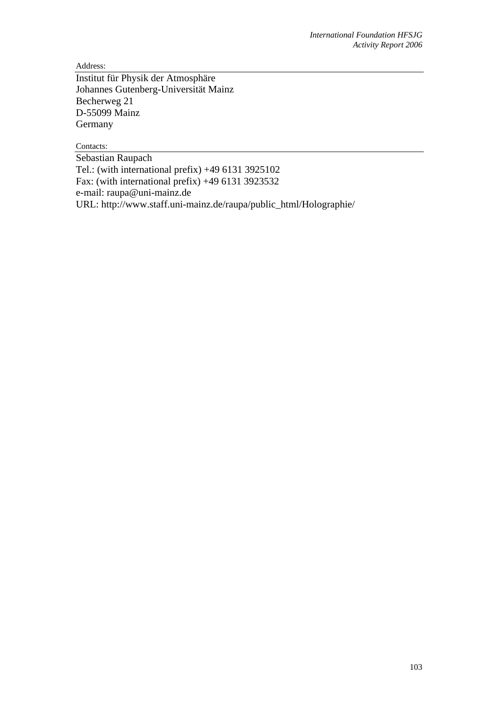Address:

Institut für Physik der Atmosphäre Johannes Gutenberg-Universität Mainz Becherweg 21 D-55099 Mainz Germany

Contacts:

Sebastian Raupach Tel.: (with international prefix) +49 6131 3925102 Fax: (with international prefix)  $+4961313923532$ e-mail: raupa@uni-mainz.de URL: http://www.staff.uni-mainz.de/raupa/public\_html/Holographie/